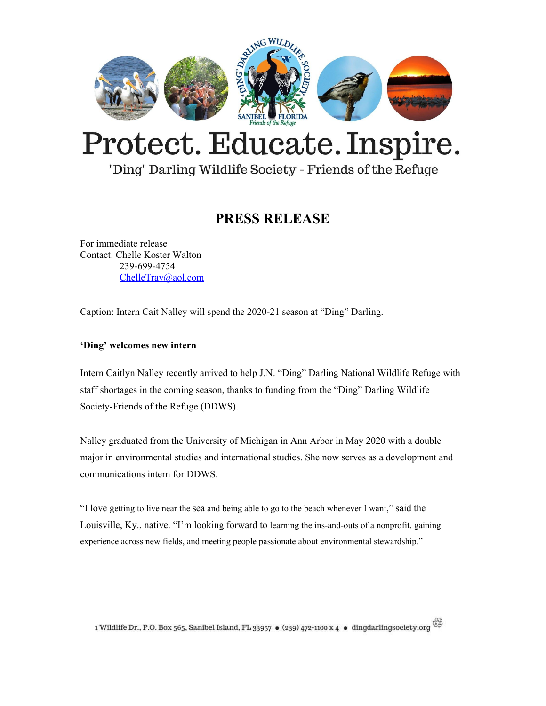

## Protect. Educate. Inspire.

"Ding" Darling Wildlife Society - Friends of the Refuge

## **PRESS RELEASE**

For immediate release Contact: Chelle Koster Walton 239-699-4754 [ChelleTrav@aol.com](mailto:ChelleTrav@aol.com)

Caption: Intern Cait Nalley will spend the 2020-21 season at "Ding" Darling.

## **'Ding' welcomes new intern**

Intern Caitlyn Nalley recently arrived to help J.N. "Ding" Darling National Wildlife Refuge with staff shortages in the coming season, thanks to funding from the "Ding" Darling Wildlife Society-Friends of the Refuge (DDWS).

Nalley graduated from the University of Michigan in Ann Arbor in May 2020 with a double major in environmental studies and international studies. She now serves as a development and communications intern for DDWS.

"I love getting to live near the sea and being able to go to the beach whenever I want," said the Louisville, Ky., native. "I'm looking forward to learning the ins-and-outs of a nonprofit, gaining experience across new fields, and meeting people passionate about environmental stewardship."